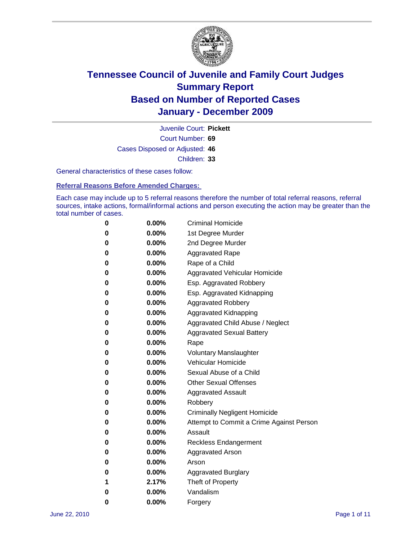

Court Number: **69** Juvenile Court: **Pickett** Cases Disposed or Adjusted: **46** Children: **33**

General characteristics of these cases follow:

**Referral Reasons Before Amended Charges:** 

Each case may include up to 5 referral reasons therefore the number of total referral reasons, referral sources, intake actions, formal/informal actions and person executing the action may be greater than the total number of cases.

| 0 | $0.00\%$ | <b>Criminal Homicide</b>                 |
|---|----------|------------------------------------------|
| 0 | $0.00\%$ | 1st Degree Murder                        |
| 0 | $0.00\%$ | 2nd Degree Murder                        |
| 0 | $0.00\%$ | <b>Aggravated Rape</b>                   |
| 0 | $0.00\%$ | Rape of a Child                          |
| 0 | $0.00\%$ | Aggravated Vehicular Homicide            |
| 0 | $0.00\%$ | Esp. Aggravated Robbery                  |
| 0 | $0.00\%$ | Esp. Aggravated Kidnapping               |
| 0 | $0.00\%$ | <b>Aggravated Robbery</b>                |
| 0 | $0.00\%$ | Aggravated Kidnapping                    |
| 0 | $0.00\%$ | Aggravated Child Abuse / Neglect         |
| 0 | $0.00\%$ | <b>Aggravated Sexual Battery</b>         |
| 0 | 0.00%    | Rape                                     |
| 0 | $0.00\%$ | <b>Voluntary Manslaughter</b>            |
| 0 | $0.00\%$ | Vehicular Homicide                       |
| 0 | $0.00\%$ | Sexual Abuse of a Child                  |
| 0 | $0.00\%$ | <b>Other Sexual Offenses</b>             |
| 0 | $0.00\%$ | <b>Aggravated Assault</b>                |
| 0 | $0.00\%$ | Robbery                                  |
| 0 | $0.00\%$ | <b>Criminally Negligent Homicide</b>     |
| 0 | $0.00\%$ | Attempt to Commit a Crime Against Person |
| 0 | $0.00\%$ | Assault                                  |
| 0 | $0.00\%$ | <b>Reckless Endangerment</b>             |
| 0 | 0.00%    | <b>Aggravated Arson</b>                  |
| 0 | $0.00\%$ | Arson                                    |
| 0 | $0.00\%$ | <b>Aggravated Burglary</b>               |
| 1 | 2.17%    | Theft of Property                        |
| 0 | $0.00\%$ | Vandalism                                |
| 0 | 0.00%    | Forgery                                  |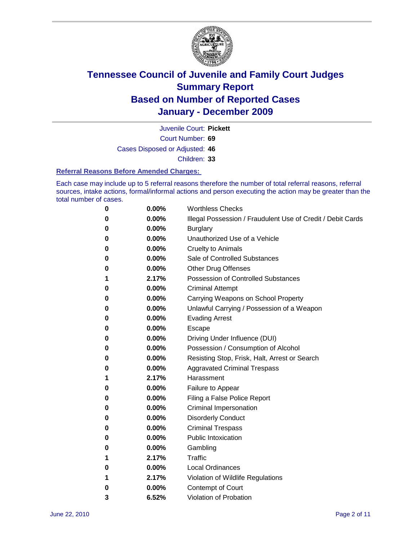

Court Number: **69** Juvenile Court: **Pickett** Cases Disposed or Adjusted: **46**

Children: **33**

#### **Referral Reasons Before Amended Charges:**

Each case may include up to 5 referral reasons therefore the number of total referral reasons, referral sources, intake actions, formal/informal actions and person executing the action may be greater than the total number of cases.

| 0 | 0.00%    | <b>Worthless Checks</b>                                     |
|---|----------|-------------------------------------------------------------|
| 0 | 0.00%    | Illegal Possession / Fraudulent Use of Credit / Debit Cards |
| 0 | 0.00%    | <b>Burglary</b>                                             |
| 0 | 0.00%    | Unauthorized Use of a Vehicle                               |
| 0 | $0.00\%$ | <b>Cruelty to Animals</b>                                   |
| 0 | $0.00\%$ | Sale of Controlled Substances                               |
| 0 | $0.00\%$ | <b>Other Drug Offenses</b>                                  |
| 1 | 2.17%    | <b>Possession of Controlled Substances</b>                  |
| 0 | 0.00%    | <b>Criminal Attempt</b>                                     |
| 0 | 0.00%    | Carrying Weapons on School Property                         |
| 0 | 0.00%    | Unlawful Carrying / Possession of a Weapon                  |
| 0 | 0.00%    | <b>Evading Arrest</b>                                       |
| 0 | 0.00%    | Escape                                                      |
| 0 | 0.00%    | Driving Under Influence (DUI)                               |
| 0 | 0.00%    | Possession / Consumption of Alcohol                         |
| 0 | 0.00%    | Resisting Stop, Frisk, Halt, Arrest or Search               |
| 0 | 0.00%    | <b>Aggravated Criminal Trespass</b>                         |
| 1 | 2.17%    | Harassment                                                  |
| 0 | 0.00%    | Failure to Appear                                           |
| 0 | 0.00%    | Filing a False Police Report                                |
| 0 | 0.00%    | Criminal Impersonation                                      |
| 0 | 0.00%    | <b>Disorderly Conduct</b>                                   |
| 0 | 0.00%    | <b>Criminal Trespass</b>                                    |
| 0 | 0.00%    | <b>Public Intoxication</b>                                  |
| 0 | 0.00%    | Gambling                                                    |
| 1 | 2.17%    | Traffic                                                     |
| 0 | $0.00\%$ | <b>Local Ordinances</b>                                     |
| 1 | 2.17%    | Violation of Wildlife Regulations                           |
| 0 | 0.00%    | Contempt of Court                                           |
| 3 | 6.52%    | Violation of Probation                                      |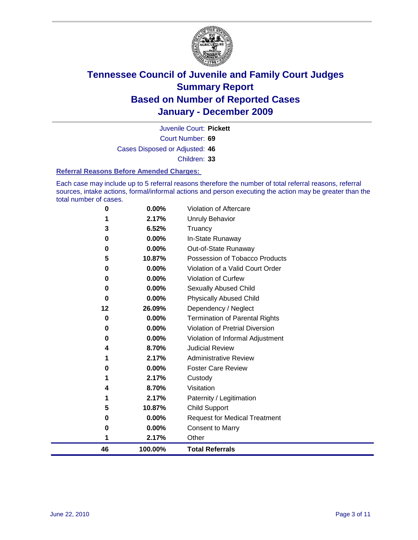

Court Number: **69** Juvenile Court: **Pickett** Cases Disposed or Adjusted: **46** Children: **33**

#### **Referral Reasons Before Amended Charges:**

Each case may include up to 5 referral reasons therefore the number of total referral reasons, referral sources, intake actions, formal/informal actions and person executing the action may be greater than the total number of cases.

| 46       | 100.00% | <b>Total Referrals</b>                 |
|----------|---------|----------------------------------------|
| 1        | 2.17%   | Other                                  |
| 0        | 0.00%   | <b>Consent to Marry</b>                |
| 0        | 0.00%   | <b>Request for Medical Treatment</b>   |
| 5        | 10.87%  | <b>Child Support</b>                   |
| 1        | 2.17%   | Paternity / Legitimation               |
| 4        | 8.70%   | Visitation                             |
| 1        | 2.17%   | Custody                                |
| 0        | 0.00%   | <b>Foster Care Review</b>              |
|          | 2.17%   | <b>Administrative Review</b>           |
| 4        | 8.70%   | <b>Judicial Review</b>                 |
| 0        | 0.00%   | Violation of Informal Adjustment       |
| 0        | 0.00%   | <b>Violation of Pretrial Diversion</b> |
| 0        | 0.00%   | Termination of Parental Rights         |
| 12       | 26.09%  | Dependency / Neglect                   |
| $\bf{0}$ | 0.00%   | <b>Physically Abused Child</b>         |
| 0        | 0.00%   | <b>Sexually Abused Child</b>           |
| 0        | 0.00%   | Violation of Curfew                    |
| 0        | 0.00%   | Violation of a Valid Court Order       |
| 5        | 10.87%  | Possession of Tobacco Products         |
| 0        | 0.00%   | Out-of-State Runaway                   |
| 0        | 0.00%   | In-State Runaway                       |
| 3        | 6.52%   | Truancy                                |
|          | 2.17%   | Unruly Behavior                        |
| 0        | 0.00%   | Violation of Aftercare                 |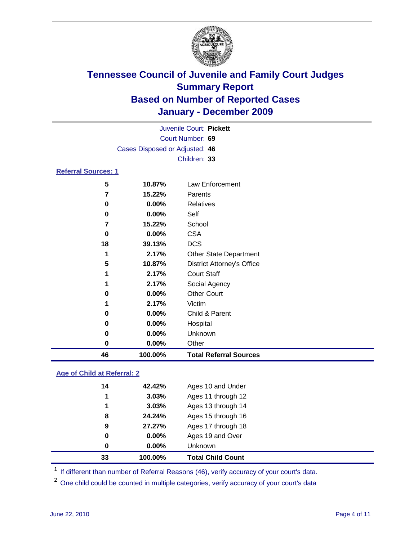

|                            |                                | Juvenile Court: Pickett           |
|----------------------------|--------------------------------|-----------------------------------|
|                            |                                | Court Number: 69                  |
|                            | Cases Disposed or Adjusted: 46 |                                   |
|                            |                                | Children: 33                      |
| <b>Referral Sources: 1</b> |                                |                                   |
| 5                          | 10.87%                         | Law Enforcement                   |
| 7                          | 15.22%                         | Parents                           |
| 0                          | 0.00%                          | <b>Relatives</b>                  |
| 0                          | 0.00%                          | Self                              |
| 7                          | 15.22%                         | School                            |
| 0                          | 0.00%                          | <b>CSA</b>                        |
| 18                         | 39.13%                         | <b>DCS</b>                        |
| 1                          | 2.17%                          | <b>Other State Department</b>     |
| 5                          | 10.87%                         | <b>District Attorney's Office</b> |
| 1                          | 2.17%                          | <b>Court Staff</b>                |
|                            | 2.17%                          | Social Agency                     |
| 0                          | 0.00%                          | <b>Other Court</b>                |
| 1                          | 2.17%                          | Victim                            |
| 0                          | 0.00%                          | Child & Parent                    |
| 0                          | 0.00%                          | Hospital                          |
| 0                          | 0.00%                          | Unknown                           |
| 0                          | 0.00%                          | Other                             |
| 46                         | 100.00%                        | <b>Total Referral Sources</b>     |

### **Age of Child at Referral: 2**

| 33       | 100.00%  | <b>Total Child Count</b> |
|----------|----------|--------------------------|
| 0        | $0.00\%$ | Unknown                  |
| $\bf{0}$ | $0.00\%$ | Ages 19 and Over         |
| 9        | 27.27%   | Ages 17 through 18       |
| 8        | 24.24%   | Ages 15 through 16       |
| 1        | 3.03%    | Ages 13 through 14       |
| 1        | 3.03%    | Ages 11 through 12       |
| 14       | 42.42%   | Ages 10 and Under        |
|          |          |                          |

<sup>1</sup> If different than number of Referral Reasons (46), verify accuracy of your court's data.

<sup>2</sup> One child could be counted in multiple categories, verify accuracy of your court's data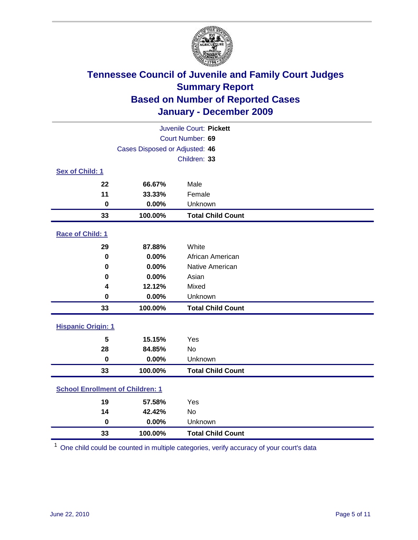

| Juvenile Court: Pickett                 |                                |                          |  |  |
|-----------------------------------------|--------------------------------|--------------------------|--|--|
| Court Number: 69                        |                                |                          |  |  |
|                                         | Cases Disposed or Adjusted: 46 |                          |  |  |
|                                         |                                | Children: 33             |  |  |
| Sex of Child: 1                         |                                |                          |  |  |
| 22                                      | 66.67%                         | Male                     |  |  |
| 11                                      | 33.33%                         | Female                   |  |  |
| $\mathbf 0$                             | 0.00%                          | Unknown                  |  |  |
| 33                                      | 100.00%                        | <b>Total Child Count</b> |  |  |
| Race of Child: 1                        |                                |                          |  |  |
| 29                                      | 87.88%                         | White                    |  |  |
| $\pmb{0}$                               | 0.00%                          | African American         |  |  |
| $\mathbf 0$                             | 0.00%                          | Native American          |  |  |
| 0                                       | 0.00%                          | Asian                    |  |  |
| 4                                       | 12.12%                         | Mixed                    |  |  |
| $\pmb{0}$                               | 0.00%                          | Unknown                  |  |  |
| 33                                      | 100.00%                        | <b>Total Child Count</b> |  |  |
| <b>Hispanic Origin: 1</b>               |                                |                          |  |  |
| 5                                       | 15.15%                         | Yes                      |  |  |
| 28                                      | 84.85%                         | No                       |  |  |
| $\mathbf 0$                             | 0.00%                          | Unknown                  |  |  |
| 33                                      | 100.00%                        | <b>Total Child Count</b> |  |  |
| <b>School Enrollment of Children: 1</b> |                                |                          |  |  |
| 19                                      | 57.58%                         | Yes                      |  |  |
| 14                                      | 42.42%                         | No                       |  |  |
| $\mathbf 0$                             | 0.00%                          | Unknown                  |  |  |
| 33                                      | 100.00%                        | <b>Total Child Count</b> |  |  |

One child could be counted in multiple categories, verify accuracy of your court's data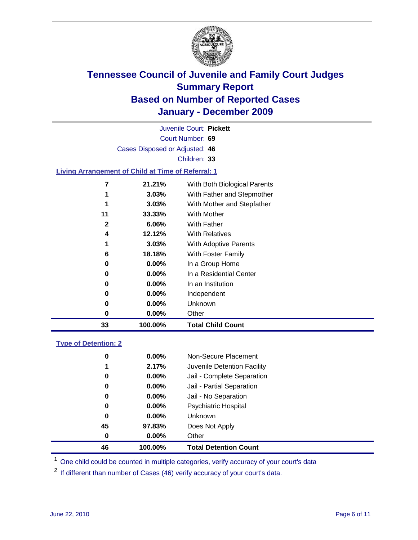

Court Number: **69** Juvenile Court: **Pickett** Cases Disposed or Adjusted: **46** Children: **33**

### **Living Arrangement of Child at Time of Referral: 1**

| 33 | 100.00%  | <b>Total Child Count</b>     |
|----|----------|------------------------------|
| 0  | 0.00%    | Other                        |
| 0  | $0.00\%$ | Unknown                      |
| 0  | $0.00\%$ | Independent                  |
| 0  | $0.00\%$ | In an Institution            |
| 0  | $0.00\%$ | In a Residential Center      |
| 0  | $0.00\%$ | In a Group Home              |
| 6  | 18.18%   | With Foster Family           |
| 1  | 3.03%    | With Adoptive Parents        |
| 4  | 12.12%   | <b>With Relatives</b>        |
| 2  | $6.06\%$ | <b>With Father</b>           |
| 11 | 33.33%   | <b>With Mother</b>           |
| 1  | 3.03%    | With Mother and Stepfather   |
| 1  | 3.03%    | With Father and Stepmother   |
| 7  | 21.21%   | With Both Biological Parents |
|    |          |                              |

### **Type of Detention: 2**

| 46 | 100.00%  | <b>Total Detention Count</b> |
|----|----------|------------------------------|
| 0  | $0.00\%$ | Other                        |
| 45 | 97.83%   | Does Not Apply               |
| 0  | $0.00\%$ | Unknown                      |
| 0  | 0.00%    | <b>Psychiatric Hospital</b>  |
| 0  | 0.00%    | Jail - No Separation         |
| 0  | $0.00\%$ | Jail - Partial Separation    |
| 0  | $0.00\%$ | Jail - Complete Separation   |
| 1  | 2.17%    | Juvenile Detention Facility  |
| 0  | $0.00\%$ | Non-Secure Placement         |
|    |          |                              |

<sup>1</sup> One child could be counted in multiple categories, verify accuracy of your court's data

<sup>2</sup> If different than number of Cases (46) verify accuracy of your court's data.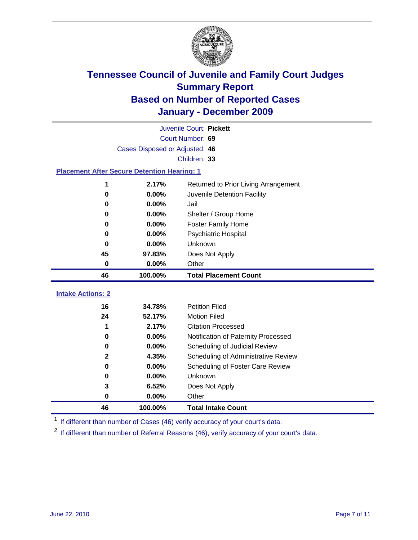

|                                                    | Juvenile Court: Pickett        |                                      |  |  |  |
|----------------------------------------------------|--------------------------------|--------------------------------------|--|--|--|
|                                                    | Court Number: 69               |                                      |  |  |  |
|                                                    | Cases Disposed or Adjusted: 46 |                                      |  |  |  |
|                                                    |                                | Children: 33                         |  |  |  |
| <b>Placement After Secure Detention Hearing: 1</b> |                                |                                      |  |  |  |
| 1                                                  | 2.17%                          | Returned to Prior Living Arrangement |  |  |  |
| 0                                                  | 0.00%                          | Juvenile Detention Facility          |  |  |  |
| 0                                                  | 0.00%                          | Jail                                 |  |  |  |
| 0                                                  | 0.00%                          | Shelter / Group Home                 |  |  |  |
| 0                                                  | 0.00%                          | <b>Foster Family Home</b>            |  |  |  |
| 0                                                  | 0.00%                          | Psychiatric Hospital                 |  |  |  |
| 0                                                  | 0.00%                          | Unknown                              |  |  |  |
| 45                                                 | 97.83%                         | Does Not Apply                       |  |  |  |
| $\bf{0}$                                           | 0.00%                          | Other                                |  |  |  |
| 46                                                 | 100.00%                        | <b>Total Placement Count</b>         |  |  |  |
| <b>Intake Actions: 2</b>                           |                                |                                      |  |  |  |
| 16                                                 | 34.78%                         | <b>Petition Filed</b>                |  |  |  |
| 24                                                 | 52.17%                         | <b>Motion Filed</b>                  |  |  |  |
| 1                                                  | 2.17%                          | <b>Citation Processed</b>            |  |  |  |
| 0                                                  | 0.00%                          | Notification of Paternity Processed  |  |  |  |
| $\mathbf 0$                                        | 0.00%                          | Scheduling of Judicial Review        |  |  |  |
| $\mathbf{2}$                                       | 4.35%                          | Scheduling of Administrative Review  |  |  |  |
| $\bf{0}$                                           | 0.00%                          | Scheduling of Foster Care Review     |  |  |  |
| 0                                                  | 0.00%                          | Unknown                              |  |  |  |
|                                                    |                                |                                      |  |  |  |
| 3                                                  | 6.52%                          | Does Not Apply                       |  |  |  |
| 0                                                  | 0.00%                          | Other                                |  |  |  |

<sup>1</sup> If different than number of Cases (46) verify accuracy of your court's data.

<sup>2</sup> If different than number of Referral Reasons (46), verify accuracy of your court's data.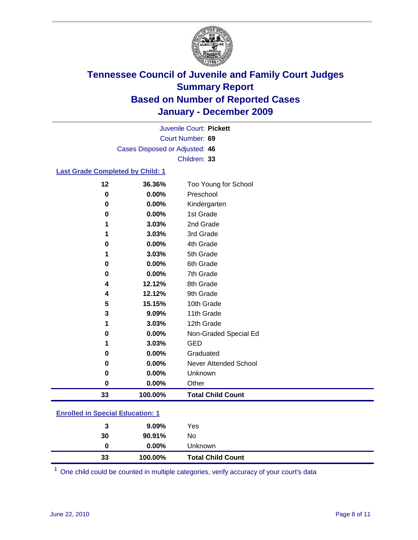

Court Number: **69** Juvenile Court: **Pickett** Cases Disposed or Adjusted: **46** Children: **33**

#### **Last Grade Completed by Child: 1**

| 12 | 36.36%  | Too Young for School         |
|----|---------|------------------------------|
| 0  | 0.00%   | Preschool                    |
| 0  | 0.00%   | Kindergarten                 |
| 0  | 0.00%   | 1st Grade                    |
| 1  | 3.03%   | 2nd Grade                    |
| 1  | 3.03%   | 3rd Grade                    |
| 0  | 0.00%   | 4th Grade                    |
| 1  | 3.03%   | 5th Grade                    |
| 0  | 0.00%   | 6th Grade                    |
| 0  | 0.00%   | 7th Grade                    |
| 4  | 12.12%  | 8th Grade                    |
| 4  | 12.12%  | 9th Grade                    |
| 5  | 15.15%  | 10th Grade                   |
| 3  | 9.09%   | 11th Grade                   |
| 1  | 3.03%   | 12th Grade                   |
| 0  | 0.00%   | Non-Graded Special Ed        |
|    | 3.03%   | <b>GED</b>                   |
| 0  | 0.00%   | Graduated                    |
| 0  | 0.00%   | <b>Never Attended School</b> |
| 0  | 0.00%   | Unknown                      |
| 0  | 0.00%   | Other                        |
| 33 | 100.00% | <b>Total Child Count</b>     |
| .  |         |                              |

### **Enrolled in Special Education: 1**

| 33 | 100.00%  | <b>Total Child Count</b> |
|----|----------|--------------------------|
| 0  | $0.00\%$ | <b>Unknown</b>           |
| 30 | 90.91%   | No.                      |
| 3  | $9.09\%$ | Yes                      |
|    |          |                          |

One child could be counted in multiple categories, verify accuracy of your court's data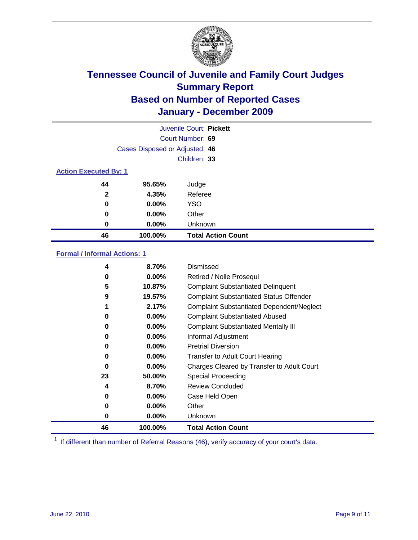

|                              | Juvenile Court: Pickett        |                           |  |  |  |
|------------------------------|--------------------------------|---------------------------|--|--|--|
|                              | Court Number: 69               |                           |  |  |  |
|                              | Cases Disposed or Adjusted: 46 |                           |  |  |  |
|                              |                                | Children: 33              |  |  |  |
| <b>Action Executed By: 1</b> |                                |                           |  |  |  |
| 44                           | 95.65%                         | Judge                     |  |  |  |
| $\mathbf{2}$                 | 4.35%                          | Referee                   |  |  |  |
| 0                            | 0.00%                          | <b>YSO</b>                |  |  |  |
| 0                            | 0.00%                          | Other                     |  |  |  |
| 0                            | 0.00%                          | Unknown                   |  |  |  |
| 46                           | 100.00%                        | <b>Total Action Count</b> |  |  |  |

### **Formal / Informal Actions: 1**

| 4  | 8.70%    | Dismissed                                        |
|----|----------|--------------------------------------------------|
| 0  | $0.00\%$ | Retired / Nolle Prosequi                         |
| 5  | 10.87%   | <b>Complaint Substantiated Delinquent</b>        |
| 9  | 19.57%   | <b>Complaint Substantiated Status Offender</b>   |
|    | 2.17%    | <b>Complaint Substantiated Dependent/Neglect</b> |
| 0  | $0.00\%$ | <b>Complaint Substantiated Abused</b>            |
| 0  | $0.00\%$ | <b>Complaint Substantiated Mentally III</b>      |
| 0  | $0.00\%$ | Informal Adjustment                              |
| 0  | $0.00\%$ | <b>Pretrial Diversion</b>                        |
| 0  | $0.00\%$ | <b>Transfer to Adult Court Hearing</b>           |
| 0  | $0.00\%$ | Charges Cleared by Transfer to Adult Court       |
| 23 | 50.00%   | Special Proceeding                               |
| 4  | 8.70%    | <b>Review Concluded</b>                          |
| 0  | $0.00\%$ | Case Held Open                                   |
| 0  | $0.00\%$ | Other                                            |
| 0  | $0.00\%$ | <b>Unknown</b>                                   |
| 46 | 100.00%  | <b>Total Action Count</b>                        |

<sup>1</sup> If different than number of Referral Reasons (46), verify accuracy of your court's data.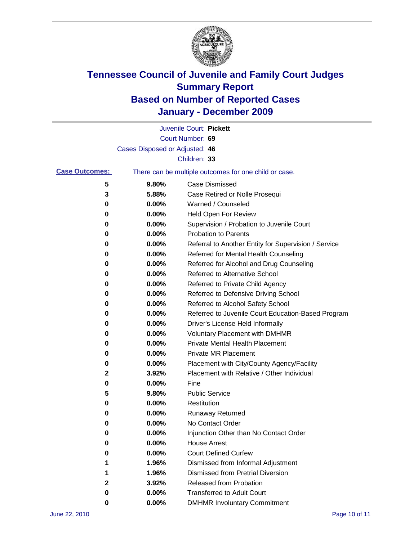

|                       |                                | Juvenile Court: Pickett                               |
|-----------------------|--------------------------------|-------------------------------------------------------|
|                       |                                | Court Number: 69                                      |
|                       | Cases Disposed or Adjusted: 46 |                                                       |
|                       |                                | Children: 33                                          |
| <b>Case Outcomes:</b> |                                | There can be multiple outcomes for one child or case. |
| 5                     | 9.80%                          | <b>Case Dismissed</b>                                 |
| 3                     | 5.88%                          | Case Retired or Nolle Prosequi                        |
| 0                     | 0.00%                          | Warned / Counseled                                    |
| 0                     | 0.00%                          | Held Open For Review                                  |
| 0                     | 0.00%                          | Supervision / Probation to Juvenile Court             |
| 0                     | 0.00%                          | <b>Probation to Parents</b>                           |
| 0                     | 0.00%                          | Referral to Another Entity for Supervision / Service  |
| 0                     | 0.00%                          | Referred for Mental Health Counseling                 |
| 0                     | 0.00%                          | Referred for Alcohol and Drug Counseling              |
| 0                     | 0.00%                          | <b>Referred to Alternative School</b>                 |
| 0                     | 0.00%                          | Referred to Private Child Agency                      |
| 0                     | 0.00%                          | Referred to Defensive Driving School                  |
| 0                     | 0.00%                          | Referred to Alcohol Safety School                     |
| 0                     | 0.00%                          | Referred to Juvenile Court Education-Based Program    |
| 0                     | 0.00%                          | Driver's License Held Informally                      |
| 0                     | 0.00%                          | <b>Voluntary Placement with DMHMR</b>                 |
| 0                     | 0.00%                          | <b>Private Mental Health Placement</b>                |
| 0                     | 0.00%                          | <b>Private MR Placement</b>                           |
| 0                     | 0.00%                          | Placement with City/County Agency/Facility            |
| 2                     | 3.92%                          | Placement with Relative / Other Individual            |
| 0                     | 0.00%                          | Fine                                                  |
| 5                     | 9.80%                          | <b>Public Service</b>                                 |
| 0                     | 0.00%                          | Restitution                                           |
| 0                     | 0.00%                          | <b>Runaway Returned</b>                               |
| 0                     | 0.00%                          | No Contact Order                                      |
| 0                     | 0.00%                          | Injunction Other than No Contact Order                |
| 0                     | 0.00%                          | <b>House Arrest</b>                                   |
| 0                     | $0.00\%$                       | <b>Court Defined Curfew</b>                           |
| 1                     | 1.96%                          | Dismissed from Informal Adjustment                    |
| 1                     | 1.96%                          | <b>Dismissed from Pretrial Diversion</b>              |
| 2                     | 3.92%                          | Released from Probation                               |
| 0                     | $0.00\%$                       | <b>Transferred to Adult Court</b>                     |
| 0                     | 0.00%                          | <b>DMHMR Involuntary Commitment</b>                   |